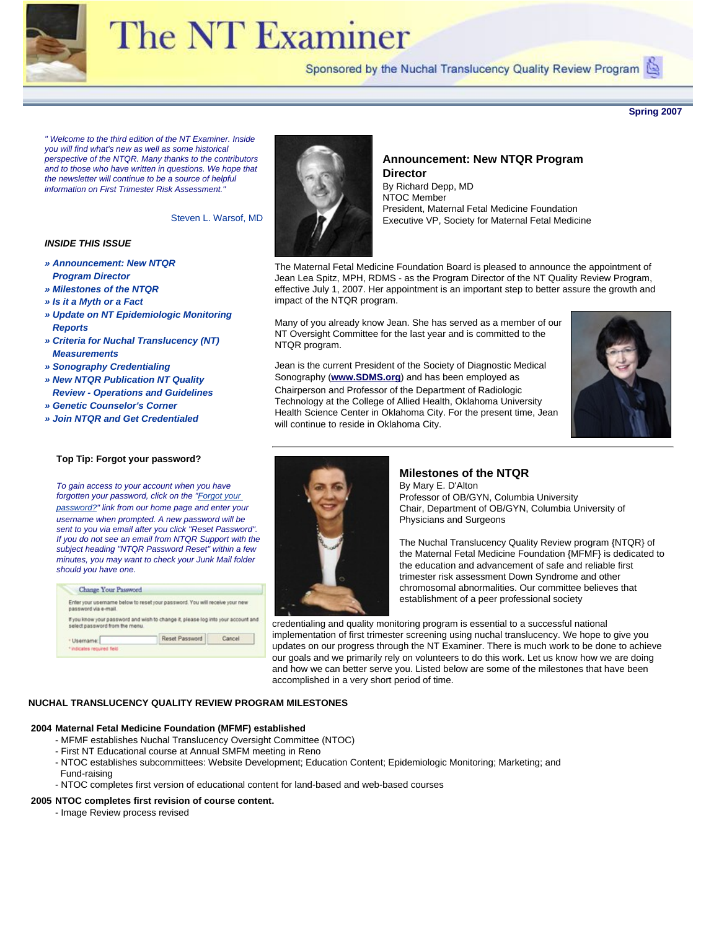<span id="page-0-2"></span>

# **The NT Examiner**

Sponsored by the Nuchal Translucency Quality Review Program

**Spring 2007**

<span id="page-0-0"></span>*" Welcome to the third edition of the NT Examiner. Inside you will find what's new as well as some historical perspective of the NTQR. Many thanks to the contributors and to those who have written in questions. We hope that the newsletter will continue to be a source of helpful information on First Trimester Risk Assessment."* 

Steven L. Warsof, MD

## *INSIDE THIS ISSUE*

- *» [Announcement: New NTQR](#page-0-0)  [Program Director](#page-0-0)*
- *» [Milestones of the NTQR](#page-0-1)*
- *» [Is it a Myth or a Fact](#page-1-0)*
- *» [Update on NT Epidemiologic Monitoring](#page-1-1)  [Reports](#page-1-1)*
- *» [Criteria for Nuchal Translucency \(NT\)](#page-2-0)  [Measurements](#page-2-0)*
- *» [Sonography Credentialing](#page-3-0)*
- *» [New NTQR Publication NT Quality](#page-3-1)  [Review - Operations and Guidelines](#page-3-1)*
- *» [Genetic Counselor's Corner](#page-3-2)*
- *» [Join NTQR and Get Credentialed](#page-0-2)*

## <span id="page-0-1"></span>**Top Tip: Forgot your password?**

*To gain access to your account when you have forgotten your password, click on the "[Forgot your](https://www.ntqr.org/SM/wfForgottenPassword.aspx) [password?"](https://www.ntqr.org/SM/wfForgottenPassword.aspx) link from our home page and enter your username when prompted. A new password will be sent to you via email after you click "Reset Password". If you do not see an email from NTQR Support with the subject heading "NTQR Password Reset" within a few minutes, you may want to check your Junk Mail folder should you have one.* 

| password via e-mail.           | Enter your usemame below to reset your password. You will receive your new        |  |
|--------------------------------|-----------------------------------------------------------------------------------|--|
|                                |                                                                                   |  |
| select password from the menu. | If you know your password and wish to change it, please log into your account and |  |



# **Announcement: New NTQR Program Director**

By Richard Depp, MD NTOC Member President, Maternal Fetal Medicine Foundation Executive VP, Society for Maternal Fetal Medicine

The Maternal Fetal Medicine Foundation Board is pleased to announce the appointment of Jean Lea Spitz, MPH, RDMS - as the Program Director of the NT Quality Review Program, effective July 1, 2007. Her appointment is an important step to better assure the growth and impact of the NTQR program.

Many of you already know Jean. She has served as a member of our NT Oversight Committee for the last year and is committed to the NTQR program.

Jean is the current President of the Society of Diagnostic Medical Sonography (**[www.SDMS.org](http://www.sdms.org/)**) and has been employed as Chairperson and Professor of the Department of Radiologic Technology at the College of Allied Health, Oklahoma University Health Science Center in Oklahoma City. For the present time, Jean will continue to reside in Oklahoma City.





# **Milestones of the NTQR**

By Mary E. D'Alton Professor of OB/GYN, Columbia University Chair, Department of OB/GYN, Columbia University of Physicians and Surgeons

The Nuchal Translucency Quality Review program {NTQR} of the Maternal Fetal Medicine Foundation {MFMF} is dedicated to the education and advancement of safe and reliable first trimester risk assessment Down Syndrome and other chromosomal abnormalities. Our committee believes that establishment of a peer professional society

credentialing and quality monitoring program is essential to a successful national implementation of first trimester screening using nuchal translucency. We hope to give you updates on our progress through the NT Examiner. There is much work to be done to achieve our goals and we primarily rely on volunteers to do this work. Let us know how we are doing and how we can better serve you. Listed below are some of the milestones that have been accomplished in a very short period of time.

## **NUCHAL TRANSLUCENCY QUALITY REVIEW PROGRAM MILESTONES**

## **2004 Maternal Fetal Medicine Foundation (MFMF) established**

- MFMF establishes Nuchal Translucency Oversight Committee (NTOC)
- First NT Educational course at Annual SMFM meeting in Reno
- NTOC establishes subcommittees: Website Development; Education Content; Epidemiologic Monitoring; Marketing; and Fund-raising
- NTOC completes first version of educational content for land-based and web-based courses

#### **2005 NTOC completes first revision of course content.**

- Image Review process revised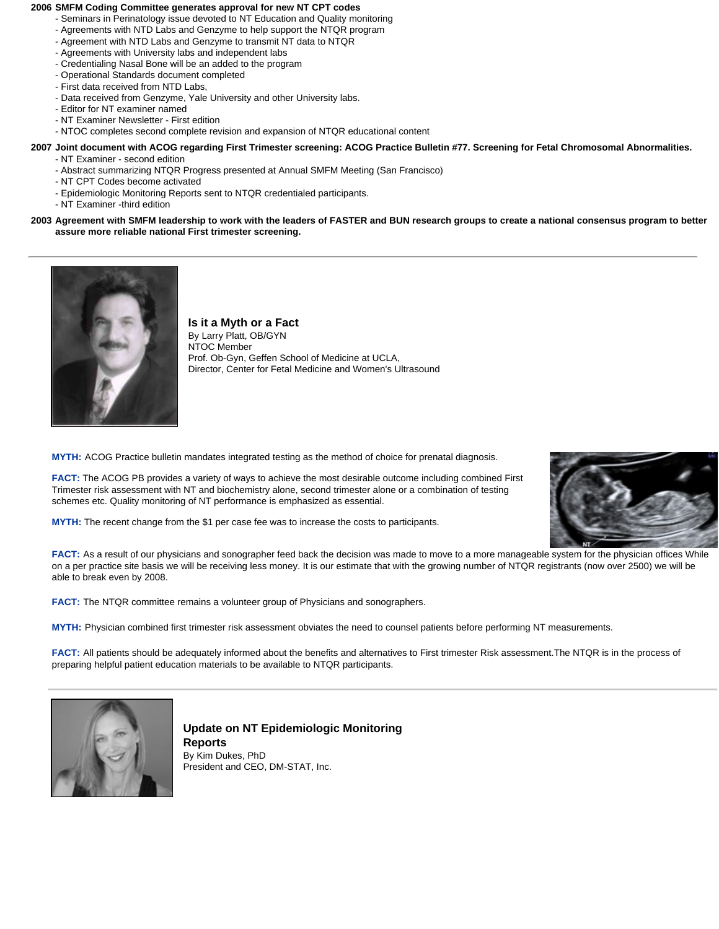## **2006 SMFM Coding Committee generates approval for new NT CPT codes**

- Seminars in Perinatology issue devoted to NT Education and Quality monitoring
- Agreements with NTD Labs and Genzyme to help support the NTQR program
- Agreement with NTD Labs and Genzyme to transmit NT data to NTQR - Agreements with University labs and independent labs
- Credentialing Nasal Bone will be an added to the program
- Operational Standards document completed
- First data received from NTD Labs,
- 
- Data received from Genzyme, Yale University and other University labs.
- Editor for NT examiner named
- NT Examiner Newsletter First edition

- NTOC completes second complete revision and expansion of NTQR educational content

## **2007 Joint document with ACOG regarding First Trimester screening: ACOG Practice Bulletin #77. Screening for Fetal Chromosomal Abnormalities.**

- NT Examiner second edition
- Abstract summarizing NTQR Progress presented at Annual SMFM Meeting (San Francisco)
- NT CPT Codes become activated
- Epidemiologic Monitoring Reports sent to NTQR credentialed participants.
- NT Examiner -third edition

## **2003 Agreement with SMFM leadership to work with the leaders of FASTER and BUN research groups to create a national consensus program to better assure more reliable national First trimester screening.**

<span id="page-1-0"></span>

**Is it a Myth or a Fact** By Larry Platt, OB/GYN NTOC Member Prof. Ob-Gyn, Geffen School of Medicine at UCLA, Director, Center for Fetal Medicine and Women's Ultrasound

**MYTH:** ACOG Practice bulletin mandates integrated testing as the method of choice for prenatal diagnosis.

**FACT:** The ACOG PB provides a variety of ways to achieve the most desirable outcome including combined First Trimester risk assessment with NT and biochemistry alone, second trimester alone or a combination of testing schemes etc. Quality monitoring of NT performance is emphasized as essential.





**FACT:** As a result of our physicians and sonographer feed back the decision was made to move to a more manageable system for the physician offices While on a per practice site basis we will be receiving less money. It is our estimate that with the growing number of NTQR registrants (now over 2500) we will be able to break even by 2008.

**FACT:** The NTQR committee remains a volunteer group of Physicians and sonographers.

**MYTH:** Physician combined first trimester risk assessment obviates the need to counsel patients before performing NT measurements.

**FACT:** All patients should be adequately informed about the benefits and alternatives to First trimester Risk assessment.The NTQR is in the process of preparing helpful patient education materials to be available to NTQR participants.

<span id="page-1-1"></span>

**Update on NT Epidemiologic Monitoring Reports** By Kim Dukes, PhD

President and CEO, DM-STAT, Inc.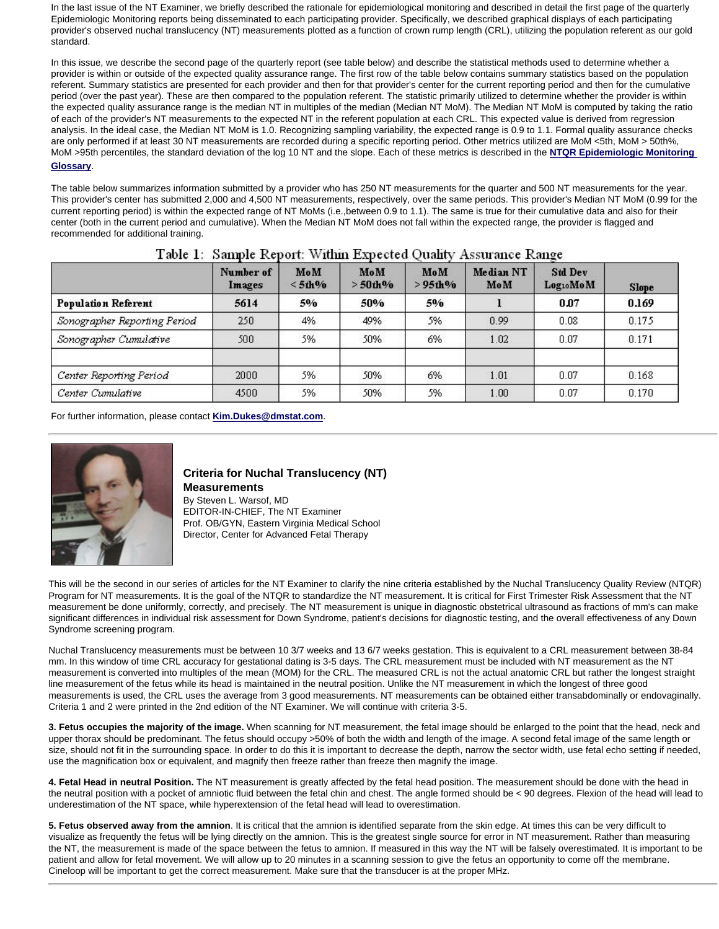In the last issue of the NT Examiner, we briefly described the rationale for epidemiological monitoring and described in detail the first page of the quarterly Epidemiologic Monitoring reports being disseminated to each participating provider. Specifically, we described graphical displays of each participating provider's observed nuchal translucency (NT) measurements plotted as a function of crown rump length (CRL), utilizing the population referent as our gold standard.

In this issue, we describe the second page of the quarterly report (see table below) and describe the statistical methods used to determine whether a provider is within or outside of the expected quality assurance range. The first row of the table below contains summary statistics based on the population referent. Summary statistics are presented for each provider and then for that provider's center for the current reporting period and then for the cumulative period (over the past year). These are then compared to the population referent. The statistic primarily utilized to determine whether the provider is within the expected quality assurance range is the median NT in multiples of the median (Median NT MoM). The Median NT MoM is computed by taking the ratio of each of the provider's NT measurements to the expected NT in the referent population at each CRL. This expected value is derived from regression analysis. In the ideal case, the Median NT MoM is 1.0. Recognizing sampling variability, the expected range is 0.9 to 1.1. Formal quality assurance checks are only performed if at least 30 NT measurements are recorded during a specific reporting period. Other metrics utilized are MoM <5th, MoM > 50th%, MoM >95th percentiles, the standard deviation of the log 10 NT and the slope. Each of these metrics is described in the **[NTQR Epidemiologic Monitoring](http://www.ntqr.org/MyFTP/SM/EPI/Glossary.pdf)  [Glossary](http://www.ntqr.org/MyFTP/SM/EPI/Glossary.pdf)**.

The table below summarizes information submitted by a provider who has 250 NT measurements for the quarter and 500 NT measurements for the year. This provider's center has submitted 2,000 and 4,500 NT measurements, respectively, over the same periods. This provider's Median NT MoM (0.99 for the current reporting period) is within the expected range of NT MoMs (i.e.,between 0.9 to 1.1). The same is true for their cumulative data and also for their center (both in the current period and cumulative). When the Median NT MoM does not fall within the expected range, the provider is flagged and recommended for additional training.

|                              |                     |                         | $\sim$                  |                      |                  |                            |              |  |  |
|------------------------------|---------------------|-------------------------|-------------------------|----------------------|------------------|----------------------------|--------------|--|--|
|                              | Number of<br>Images | MoM<br>$\leq 5$ th $\%$ | <b>MoM</b><br>$>$ 50th% | <b>MoM</b><br>>95th% | Median NT<br>MoM | <b>Std Dev</b><br>Log10MoM | <b>Slope</b> |  |  |
| <b>Population Referent</b>   | 5614                | 5%                      | 50%                     | 5%                   |                  | 0.07                       | 0.169        |  |  |
| Sonographer Reporting Period | 250                 | 4%                      | 49%                     | 5%                   | 0.99             | 0.08                       | 0.175        |  |  |
| Sonographer Cumulative       | 500                 | 5%                      | 50%                     | 6%                   | 1.02             | 0.07                       | 0.171        |  |  |
| Center Reporting Period      | 2000                | 5%                      | 50%                     | 6%                   | 1.01             | 0.07                       | 0.168        |  |  |
| Center Cumulative            | 4500                | 5%                      | 50%                     | 5%                   | 1.00             | 0.07                       | 0.170        |  |  |

 $\overline{\phantom{a}}$ 

# Table 1: Sample Report: Within Expected Ouality Assurance Range

For further information, please contact **[Kim.Dukes@dmstat.com](mailto:Kim.Dukes@dmstat.com)**.

<span id="page-2-0"></span>

# **Criteria for Nuchal Translucency (NT) Measurements**

By Steven L. Warsof, MD EDITOR-IN-CHIEF, The NT Examiner Prof. OB/GYN, Eastern Virginia Medical School Director, Center for Advanced Fetal Therapy

This will be the second in our series of articles for the NT Examiner to clarify the nine criteria established by the Nuchal Translucency Quality Review (NTQR) Program for NT measurements. It is the goal of the NTQR to standardize the NT measurement. It is critical for First Trimester Risk Assessment that the NT measurement be done uniformly, correctly, and precisely. The NT measurement is unique in diagnostic obstetrical ultrasound as fractions of mm's can make significant differences in individual risk assessment for Down Syndrome, patient's decisions for diagnostic testing, and the overall effectiveness of any Down Syndrome screening program.

Nuchal Translucency measurements must be between 10 3/7 weeks and 13 6/7 weeks gestation. This is equivalent to a CRL measurement between 38-84 mm. In this window of time CRL accuracy for gestational dating is 3-5 days. The CRL measurement must be included with NT measurement as the NT measurement is converted into multiples of the mean (MOM) for the CRL. The measured CRL is not the actual anatomic CRL but rather the longest straight line measurement of the fetus while its head is maintained in the neutral position. Unlike the NT measurement in which the longest of three good measurements is used, the CRL uses the average from 3 good measurements. NT measurements can be obtained either transabdominally or endovaginally. Criteria 1 and 2 were printed in the 2nd edition of the NT Examiner. We will continue with criteria 3-5.

**3. Fetus occupies the majority of the image.** When scanning for NT measurement, the fetal image should be enlarged to the point that the head, neck and upper thorax should be predominant. The fetus should occupy >50% of both the width and length of the image. A second fetal image of the same length or size, should not fit in the surrounding space. In order to do this it is important to decrease the depth, narrow the sector width, use fetal echo setting if needed, use the magnification box or equivalent, and magnify then freeze rather than freeze then magnify the image.

**4. Fetal Head in neutral Position.** The NT measurement is greatly affected by the fetal head position. The measurement should be done with the head in the neutral position with a pocket of amniotic fluid between the fetal chin and chest. The angle formed should be < 90 degrees. Flexion of the head will lead to underestimation of the NT space, while hyperextension of the fetal head will lead to overestimation.

**5. Fetus observed away from the amnion**. It is critical that the amnion is identified separate from the skin edge. At times this can be very difficult to visualize as frequently the fetus will be lying directly on the amnion. This is the greatest single source for error in NT measurement. Rather than measuring the NT, the measurement is made of the space between the fetus to amnion. If measured in this way the NT will be falsely overestimated. It is important to be patient and allow for fetal movement. We will allow up to 20 minutes in a scanning session to give the fetus an opportunity to come off the membrane. Cineloop will be important to get the correct measurement. Make sure that the transducer is at the proper MHz.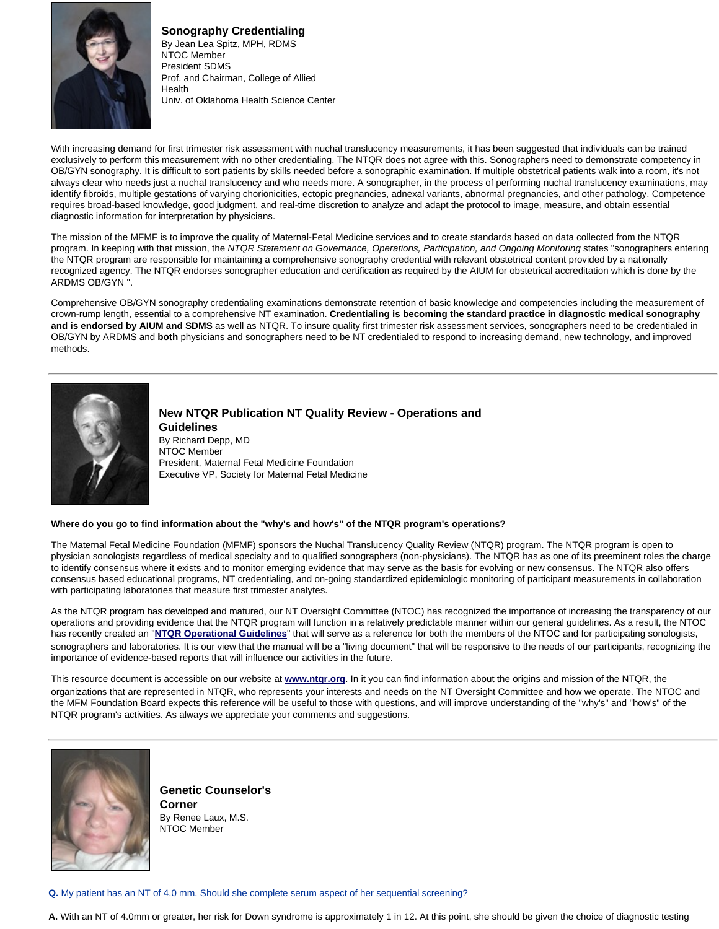<span id="page-3-0"></span>

# **Sonography Credentialing**

By Jean Lea Spitz, MPH, RDMS NTOC Member President SDMS Prof. and Chairman, College of Allied Health Univ. of Oklahoma Health Science Center

With increasing demand for first trimester risk assessment with nuchal translucency measurements, it has been suggested that individuals can be trained exclusively to perform this measurement with no other credentialing. The NTQR does not agree with this. Sonographers need to demonstrate competency in OB/GYN sonography. It is difficult to sort patients by skills needed before a sonographic examination. If multiple obstetrical patients walk into a room, it's not always clear who needs just a nuchal translucency and who needs more. A sonographer, in the process of performing nuchal translucency examinations, may identify fibroids, multiple gestations of varying chorionicities, ectopic pregnancies, adnexal variants, abnormal pregnancies, and other pathology. Competence requires broad-based knowledge, good judgment, and real-time discretion to analyze and adapt the protocol to image, measure, and obtain essential diagnostic information for interpretation by physicians.

The mission of the MFMF is to improve the quality of Maternal-Fetal Medicine services and to create standards based on data collected from the NTQR program. In keeping with that mission, the NTQR Statement on Governance, Operations, Participation, and Ongoing Monitoring states "sonographers entering the NTQR program are responsible for maintaining a comprehensive sonography credential with relevant obstetrical content provided by a nationally recognized agency. The NTQR endorses sonographer education and certification as required by the AIUM for obstetrical accreditation which is done by the ARDMS OB/GYN ".

Comprehensive OB/GYN sonography credentialing examinations demonstrate retention of basic knowledge and competencies including the measurement of crown-rump length, essential to a comprehensive NT examination. **Credentialing is becoming the standard practice in diagnostic medical sonography and is endorsed by AIUM and SDMS** as well as NTQR. To insure quality first trimester risk assessment services, sonographers need to be credentialed in OB/GYN by ARDMS and **both** physicians and sonographers need to be NT credentialed to respond to increasing demand, new technology, and improved methods.

<span id="page-3-1"></span>

**New NTQR Publication NT Quality Review - Operations and Guidelines** By Richard Depp, MD NTOC Member President, Maternal Fetal Medicine Foundation Executive VP, Society for Maternal Fetal Medicine

## **Where do you go to find information about the "why's and how's" of the NTQR program's operations?**

The Maternal Fetal Medicine Foundation (MFMF) sponsors the Nuchal Translucency Quality Review (NTQR) program. The NTQR program is open to physician sonologists regardless of medical specialty and to qualified sonographers (non-physicians). The NTQR has as one of its preeminent roles the charge to identify consensus where it exists and to monitor emerging evidence that may serve as the basis for evolving or new consensus. The NTQR also offers consensus based educational programs, NT credentialing, and on-going standardized epidemiologic monitoring of participant measurements in collaboration with participating laboratories that measure first trimester analytes.

As the NTQR program has developed and matured, our NT Oversight Committee (NTOC) has recognized the importance of increasing the transparency of our operations and providing evidence that the NTQR program will function in a relatively predictable manner within our general guidelines. As a result, the NTOC has recently created an "**[NTQR Operational Guidelines](http://www.ntqr.org/MyFTP/SM/Documents/Operations/NTQRGuidelines.pdf)**" that will serve as a reference for both the members of the NTOC and for participating sonologists, sonographers and laboratories. It is our view that the manual will be a "living document" that will be responsive to the needs of our participants, recognizing the importance of evidence-based reports that will influence our activities in the future.

This resource document is accessible on our website at **[www.ntqr.org](http://www.ntqr.org/)**. In it you can find information about the origins and mission of the NTQR, the organizations that are represented in NTQR, who represents your interests and needs on the NT Oversight Committee and how we operate. The NTOC and the MFM Foundation Board expects this reference will be useful to those with questions, and will improve understanding of the "why's" and "how's" of the NTQR program's activities. As always we appreciate your comments and suggestions.

<span id="page-3-2"></span>

**Genetic Counselor's Corner** By Renee Laux, M.S. NTOC Member

**Q.** My patient has an NT of 4.0 mm. Should she complete serum aspect of her sequential screening?

**A.** With an NT of 4.0mm or greater, her risk for Down syndrome is approximately 1 in 12. At this point, she should be given the choice of diagnostic testing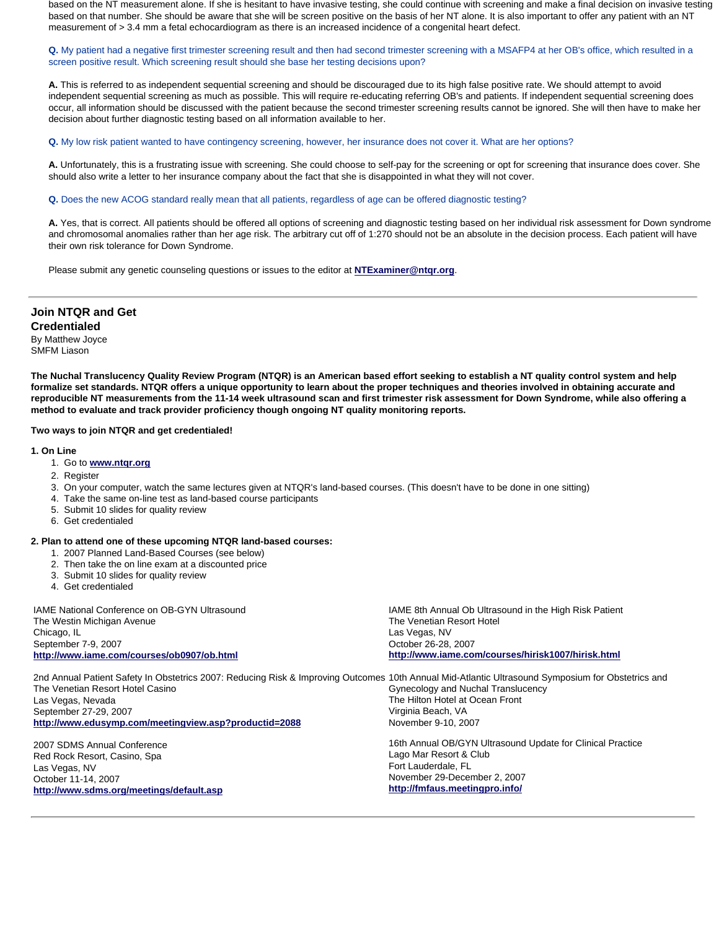based on the NT measurement alone. If she is hesitant to have invasive testing, she could continue with screening and make a final decision on invasive testing based on that number. She should be aware that she will be screen positive on the basis of her NT alone. It is also important to offer any patient with an NT measurement of > 3.4 mm a fetal echocardiogram as there is an increased incidence of a congenital heart defect.

## **Q.** My patient had a negative first trimester screening result and then had second trimester screening with a MSAFP4 at her OB's office, which resulted in a screen positive result. Which screening result should she base her testing decisions upon?

**A.** This is referred to as independent sequential screening and should be discouraged due to its high false positive rate. We should attempt to avoid independent sequential screening as much as possible. This will require re-educating referring OB's and patients. If independent sequential screening does occur, all information should be discussed with the patient because the second trimester screening results cannot be ignored. She will then have to make her decision about further diagnostic testing based on all information available to her.

**Q.** My low risk patient wanted to have contingency screening, however, her insurance does not cover it. What are her options?

**A.** Unfortunately, this is a frustrating issue with screening. She could choose to self-pay for the screening or opt for screening that insurance does cover. She should also write a letter to her insurance company about the fact that she is disappointed in what they will not cover.

**Q.** Does the new ACOG standard really mean that all patients, regardless of age can be offered diagnostic testing?

**A.** Yes, that is correct. All patients should be offered all options of screening and diagnostic testing based on her individual risk assessment for Down syndrome and chromosomal anomalies rather than her age risk. The arbitrary cut off of 1:270 should not be an absolute in the decision process. Each patient will have their own risk tolerance for Down Syndrome.

Please submit any genetic counseling questions or issues to the editor at **[NTExaminer@ntqr.org](mailto:NTExaminer@ntqr.org)**.

# **Join NTQR and Get**

**Credentialed** By Matthew Joyce

SMFM Liason

**The Nuchal Translucency Quality Review Program (NTQR) is an American based effort seeking to establish a NT quality control system and help formalize set standards. NTQR offers a unique opportunity to learn about the proper techniques and theories involved in obtaining accurate and reproducible NT measurements from the 11-14 week ultrasound scan and first trimester risk assessment for Down Syndrome, while also offering a method to evaluate and track provider proficiency though ongoing NT quality monitoring reports.** 

### **Two ways to join NTQR and get credentialed!**

### **1. On Line**

- 1. Go to **[www.ntqr.org](http://www.ntqr.org/)**
- 2. Register
- 3. On your computer, watch the same lectures given at NTQR's land-based courses. (This doesn't have to be done in one sitting)
- 4. Take the same on-line test as land-based course participants
- 5. Submit 10 slides for quality review
- 6. Get credentialed

## **2. Plan to attend one of these upcoming NTQR land-based courses:**

- 1. 2007 Planned Land-Based Courses (see below)
- 2. Then take the on line exam at a discounted price
- 3. Submit 10 slides for quality review
- 4. Get credentialed

| IAME National Conference on OB-GYN Ultrasound | IAME 8th Annual Ob Ultrasound in the High Risk Patient                                                                                      |
|-----------------------------------------------|---------------------------------------------------------------------------------------------------------------------------------------------|
| The Westin Michigan Avenue                    | The Venetian Resort Hotel                                                                                                                   |
| Chicago, IL                                   | Las Vegas, NV                                                                                                                               |
| September 7-9, 2007                           | October 26-28, 2007                                                                                                                         |
| http://www.iame.com/courses/ob0907/ob.html    | http://www.iame.com/courses/hirisk1007/hirisk.html                                                                                          |
|                                               |                                                                                                                                             |
|                                               | 2nd Annual Patient Safety In Obstetrics 2007: Reducing Risk & Improving Outcomes 10th Annual Mid-Atlantic Ultrasound Symposium for Obstetri |

2nd Annual Patient Safety In Obstetrics 2007: Reducing Risk & Improving Outcomes 10th Annual Mid-Atlantic Ultrasound Symposium for Obstetrics and The Venetian Resort Hotel Casino Las Vegas, Nevada September 27-29, 2007 **<http://www.edusymp.com/meetingview.asp?productid=2088>** Gynecology and Nuchal Translucency The Hilton Hotel at Ocean Front Virginia Beach, VA November 9-10, 2007

2007 SDMS Annual Conference Red Rock Resort, Casino, Spa Las Vegas, NV October 11-14, 2007 **<http://www.sdms.org/meetings/default.asp>**

16th Annual OB/GYN Ultrasound Update for Clinical Practice Lago Mar Resort & Club Fort Lauderdale, FL November 29-December 2, 2007 **<http://fmfaus.meetingpro.info/>**